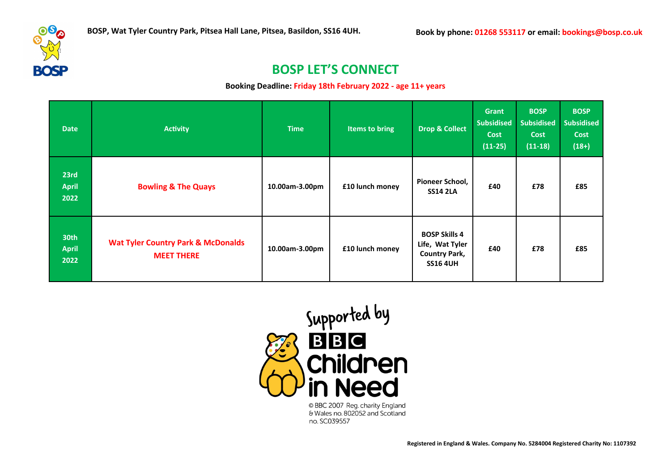

# **BOSP LET'S CONNECT**

**Booking Deadline: Friday 18th February 2022 - age 11+ years**

| <b>Date</b>                  | <b>Activity</b>                                                    | <b>Time</b>    | Items to bring  | <b>Drop &amp; Collect</b>                                                          | <b>Grant</b><br><b>Subsidised</b><br><b>Cost</b><br>$(11-25)$ | <b>BOSP</b><br><b>Subsidised</b><br><b>Cost</b><br>$(11-18)$ | <b>BOSP</b><br><b>Subsidised</b><br><b>Cost</b><br>$(18+)$ |
|------------------------------|--------------------------------------------------------------------|----------------|-----------------|------------------------------------------------------------------------------------|---------------------------------------------------------------|--------------------------------------------------------------|------------------------------------------------------------|
| 23rd<br><b>April</b><br>2022 | <b>Bowling &amp; The Quays</b>                                     | 10.00am-3.00pm | £10 lunch money | Pioneer School,<br><b>SS14 2LA</b>                                                 | £40                                                           | £78                                                          | £85                                                        |
| 30th<br><b>April</b><br>2022 | <b>Wat Tyler Country Park &amp; McDonalds</b><br><b>MEET THERE</b> | 10.00am-3.00pm | £10 lunch money | <b>BOSP Skills 4</b><br>Life, Wat Tyler<br><b>Country Park,</b><br><b>SS16 4UH</b> | £40                                                           | £78                                                          | £85                                                        |

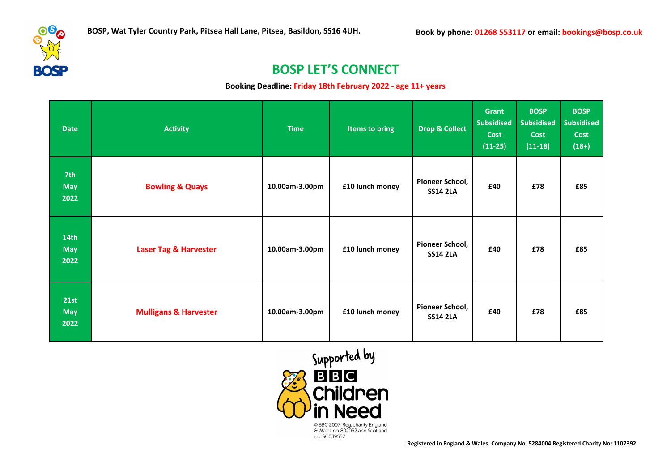

## **BOSP LET'S CONNECT**

#### **Booking Deadline: Friday 18th February 2022 - age 11+ years**

| <b>Date</b>                            | <b>Activity</b>                  | <b>Time</b>    | <b>Items to bring</b> | <b>Drop &amp; Collect</b>          | Grant<br><b>Subsidised</b><br>Cost<br>$(11-25)$ | <b>BOSP</b><br><b>Subsidised</b><br><b>Cost</b><br>$(11-18)$ | <b>BOSP</b><br><b>Subsidised</b><br><b>Cost</b><br>$(18+)$ |
|----------------------------------------|----------------------------------|----------------|-----------------------|------------------------------------|-------------------------------------------------|--------------------------------------------------------------|------------------------------------------------------------|
| 7th<br><b>May</b><br>2022              | <b>Bowling &amp; Quays</b>       | 10.00am-3.00pm | £10 lunch money       | Pioneer School,<br><b>SS14 2LA</b> | £40                                             | £78                                                          | £85                                                        |
| 14 <sub>th</sub><br><b>May</b><br>2022 | <b>Laser Tag &amp; Harvester</b> | 10.00am-3.00pm | £10 lunch money       | Pioneer School,<br><b>SS14 2LA</b> | £40                                             | £78                                                          | £85                                                        |
| <b>21st</b><br><b>May</b><br>2022      | <b>Mulligans &amp; Harvester</b> | 10.00am-3.00pm | £10 lunch money       | Pioneer School,<br><b>SS14 2LA</b> | £40                                             | £78                                                          | £85                                                        |